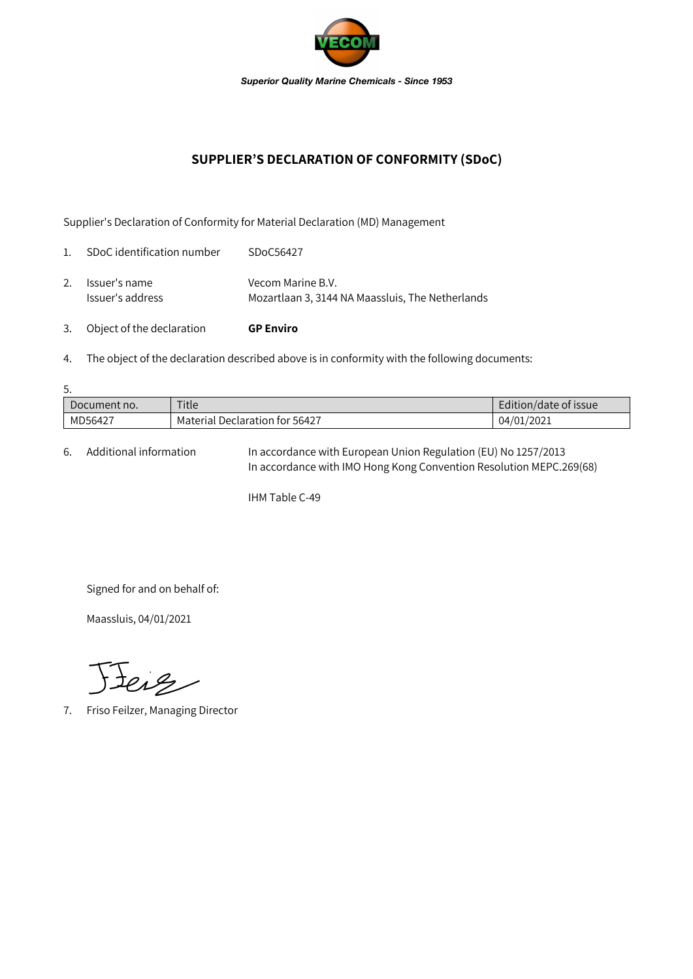

## **SUPPLIER'S DECLARATION OF CONFORMITY (SDoC)**

Supplier's Declaration of Conformity for Material Declaration (MD) Management

| 3.             | Object of the declaration         | <b>GP Enviro</b>                                                      |
|----------------|-----------------------------------|-----------------------------------------------------------------------|
| 2.             | Issuer's name<br>Issuer's address | Vecom Marine B.V.<br>Mozartlaan 3, 3144 NA Maassluis, The Netherlands |
| $\mathbf{1}$ . | SDoC identification number        | SDoC56427                                                             |

4. The object of the declaration described above is in conformity with the following documents:

| 5.           |                                |                       |  |  |  |  |
|--------------|--------------------------------|-----------------------|--|--|--|--|
| Document no. | Title                          | Edition/date of issue |  |  |  |  |
| MD56427      | Material Declaration for 56427 | 04/01/2021            |  |  |  |  |

6. Additional information In accordance with European Union Regulation (EU) No 1257/2013 In accordance with IMO Hong Kong Convention Resolution MEPC.269(68)

IHM Table C-49

Signed for and on behalf of:

Maassluis, 04/01/2021

Jeiz

7. Friso Feilzer, Managing Director